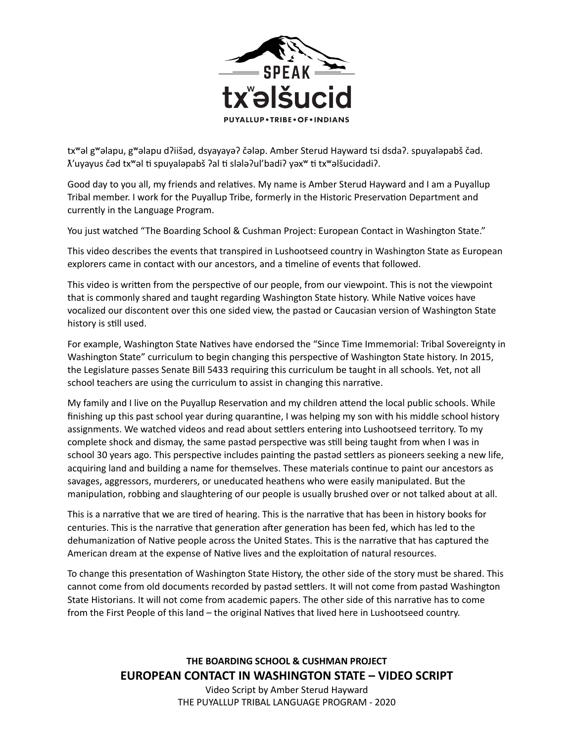

txʷəl gʷəlapu, gʷəlapu dʔiišəd, dsyayayəʔ čələp. Amber Sterud Hayward tsi dsdaʔ. spuyaləpabš čəd.  $\chi'$ uyayus čəd tx<sup>w</sup>əl ti spuyaləpabš ?al ti slələ?ul'badi? yəx<sup>w</sup> ti tx<sup>w</sup>əlšucidadi?.

Good day to you all, my friends and relatives. My name is Amber Sterud Hayward and I am a Puyallup Tribal member. I work for the Puyallup Tribe, formerly in the Historic Preservation Department and currently in the Language Program.

You just watched "The Boarding School & Cushman Project: European Contact in Washington State."

This video describes the events that transpired in Lushootseed country in Washington State as European explorers came in contact with our ancestors, and a timeline of events that followed.

This video is written from the perspective of our people, from our viewpoint. This is not the viewpoint that is commonly shared and taught regarding Washington State history. While Native voices have vocalized our discontent over this one sided view, the pastəd or Caucasian version of Washington State history is still used.

For example, Washington State Natives have endorsed the "Since Time Immemorial: Tribal Sovereignty in Washington State" curriculum to begin changing this perspective of Washington State history. In 2015, the Legislature passes Senate Bill 5433 requiring this curriculum be taught in all schools. Yet, not all school teachers are using the curriculum to assist in changing this narrative.

My family and I live on the Puyallup Reservation and my children attend the local public schools. While finishing up this past school year during quarantine, I was helping my son with his middle school history assignments. We watched videos and read about settlers entering into Lushootseed territory. To my complete shock and dismay, the same pastad perspective was still being taught from when I was in school 30 years ago. This perspective includes painting the pastad settlers as pioneers seeking a new life, acquiring land and building a name for themselves. These materials continue to paint our ancestors as savages, aggressors, murderers, or uneducated heathens who were easily manipulated. But the manipulation, robbing and slaughtering of our people is usually brushed over or not talked about at all.

This is a narrative that we are tired of hearing. This is the narrative that has been in history books for centuries. This is the narrative that generation after generation has been fed, which has led to the dehumanization of Native people across the United States. This is the narrative that has captured the American dream at the expense of Native lives and the exploitation of natural resources.

To change this presentation of Washington State History, the other side of the story must be shared. This cannot come from old documents recorded by pastad settlers. It will not come from pastad Washington State Historians. It will not come from academic papers. The other side of this narrative has to come from the First People of this land – the original Natives that lived here in Lushootseed country.

> **THE BOARDING SCHOOL & CUSHMAN PROJECT EUROPEAN CONTACT IN WASHINGTON STATE – VIDEO SCRIPT**

> > Video Script by Amber Sterud Hayward THE PUYALLUP TRIBAL LANGUAGE PROGRAM - 2020